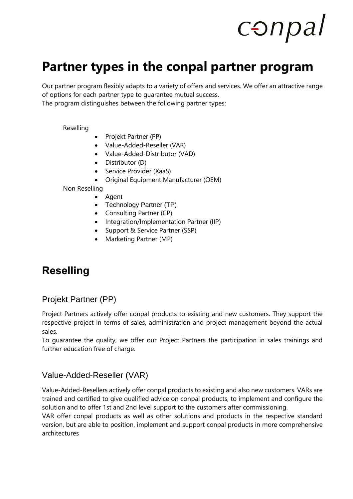## conpal

## **Partner types in the conpal partner program**

Our partner program flexibly adapts to a variety of offers and services. We offer an attractive range of options for each partner type to guarantee mutual success.

The program distinguishes between the following partner types:

[Reselling](#page-0-0)

- [Projekt Partner \(PP\)](#page-0-1)
- [Value-Added-Reseller \(VAR\)](#page-0-2)
- [Value-Added-Distributor \(VAD\)](#page-1-0)
- [Distributor \(D\)](#page-1-1)
- [Service Provider \(XaaS\)](#page-1-2)
- [Original Equipment Manufacturer \(OEM\)](#page-1-3)

[Non Reselling](#page-1-4)

- [Agent](#page-1-5)
- [Technology Partner \(TP\)](#page-2-0)
- [Consulting Partner \(CP\)](#page-2-1)
- [Integration/Implementation Partner \(IIP\)](#page-2-2)
- [Support & Service Partner \(SSP\)](#page-2-3)
- [Marketing Partner \(MP\)](#page-2-4)

## <span id="page-0-0"></span>**Reselling**

## <span id="page-0-1"></span>Projekt Partner (PP)

Project Partners actively offer conpal products to existing and new customers. They support the respective project in terms of sales, administration and project management beyond the actual sales.

To guarantee the quality, we offer our Project Partners the participation in sales trainings and further education free of charge.

#### <span id="page-0-2"></span>Value-Added-Reseller (VAR)

Value-Added-Resellers actively offer conpal products to existing and also new customers. VARs are trained and certified to give qualified advice on conpal products, to implement and configure the solution and to offer 1st and 2nd level support to the customers after commissioning.

VAR offer conpal products as well as other solutions and products in the respective standard version, but are able to position, implement and support conpal products in more comprehensive architectures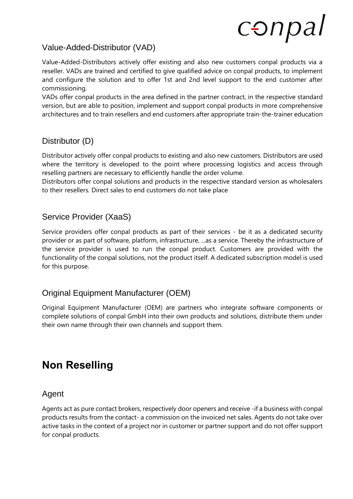# conpal

### <span id="page-1-0"></span>Value-Added-Distributor (VAD)

Value-Added-Distributors actively offer existing and also new customers conpal products via a reseller. VADs are trained and certified to give qualified advice on conpal products, to implement and configure the solution and to offer 1st and 2nd level support to the end customer after commissioning.

VADs offer conpal products in the area defined in the partner contract, in the respective standard version, but are able to position, implement and support conpal products in more comprehensive architectures and to train resellers and end customers after appropriate train-the-trainer education

## <span id="page-1-1"></span>Distributor (D)

Distributor actively offer conpal products to existing and also new customers. Distributors are used where the territory is developed to the point where processing logistics and access through reselling partners are necessary to efficiently handle the order volume.

Distributors offer conpal solutions and products in the respective standard version as wholesalers to their resellers. Direct sales to end customers do not take place

## <span id="page-1-2"></span>Service Provider (XaaS)

Service providers offer conpal products as part of their services - be it as a dedicated security provider or as part of software, platform, infrastructure, ...as a service. Thereby the infrastructure of the service provider is used to run the conpal product. Customers are provided with the functionality of the conpal solutions, not the product itself. A dedicated subscription model is used for this purpose.

## <span id="page-1-3"></span>Original Equipment Manufacturer (OEM)

Original Equipment Manufacturer (OEM) are partners who integrate software components or complete solutions of conpal GmbH into their own products and solutions, distribute them under their own name through their own channels and support them.

## <span id="page-1-4"></span>**Non Reselling**

#### <span id="page-1-5"></span>Agent

Agents act as pure contact brokers, respectively door openers and receive -if a business with conpal products results from the contact- a commission on the invoiced net sales. Agents do not take over active tasks in the context of a project nor in customer or partner support and do not offer support for conpal products.